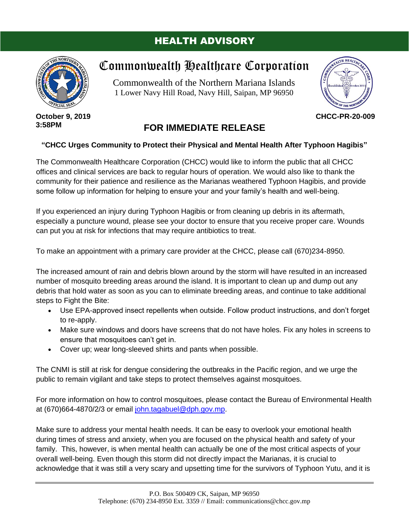## HEALTH ADVISORY



# Commonwealth Healthcare Corporation

Commonwealth of the Northern Mariana Islands 1 Lower Navy Hill Road, Navy Hill, Saipan, MP 96950



**CHCC-PR-20-009**

#### **October 9, 2019 3:58PM**

## **FOR IMMEDIATE RELEASE**

### **"CHCC Urges Community to Protect their Physical and Mental Health After Typhoon Hagibis"**

The Commonwealth Healthcare Corporation (CHCC) would like to inform the public that all CHCC offices and clinical services are back to regular hours of operation. We would also like to thank the community for their patience and resilience as the Marianas weathered Typhoon Hagibis, and provide some follow up information for helping to ensure your and your family's health and well-being.

If you experienced an injury during Typhoon Hagibis or from cleaning up debris in its aftermath, especially a puncture wound, please see your doctor to ensure that you receive proper care. Wounds can put you at risk for infections that may require antibiotics to treat.

To make an appointment with a primary care provider at the CHCC, please call (670)234-8950.

The increased amount of rain and debris blown around by the storm will have resulted in an increased number of mosquito breeding areas around the island. It is important to clean up and dump out any debris that hold water as soon as you can to eliminate breeding areas, and continue to take additional steps to Fight the Bite:

- Use EPA-approved insect repellents when outside. Follow product instructions, and don't forget to re-apply.
- Make sure windows and doors have screens that do not have holes. Fix any holes in screens to ensure that mosquitoes can't get in.
- Cover up; wear long-sleeved shirts and pants when possible.

The CNMI is still at risk for dengue considering the outbreaks in the Pacific region, and we urge the public to remain vigilant and take steps to protect themselves against mosquitoes.

For more information on how to control mosquitoes, please contact the Bureau of Environmental Health at (670)664-4870/2/3 or email [john.tagabuel@dph.gov.mp.](mailto:john.tagabuel@dph.gov.mp)

Make sure to address your mental health needs. It can be easy to overlook your emotional health during times of stress and anxiety, when you are focused on the physical health and safety of your family. This, however, is when mental health can actually be one of the most critical aspects of your overall well-being. Even though this storm did not directly impact the Marianas, it is crucial to acknowledge that it was still a very scary and upsetting time for the survivors of Typhoon Yutu, and it is